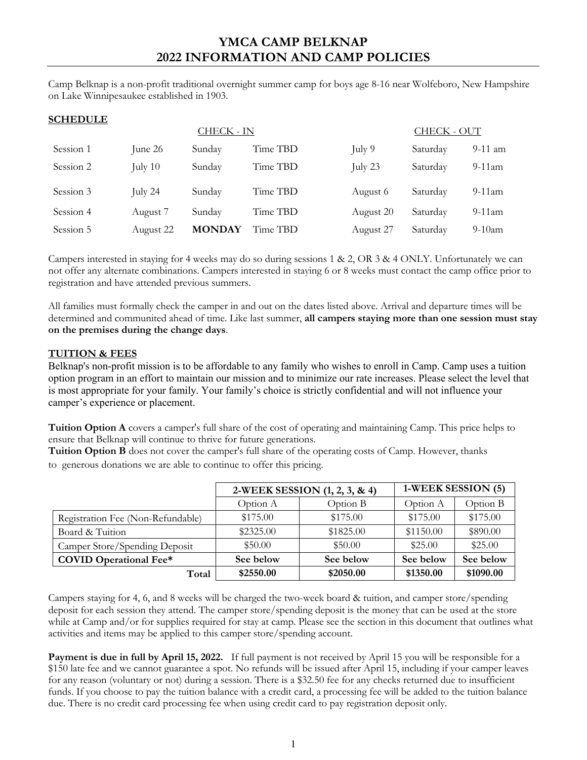Camp Belknap is a non-profit traditional overnight summer camp for boys age 8-16 near Wolfeboro, New Hampshire on Lake Winnipesaukee established in 1903.

# **SCHEDULE**

|           |           | <b>CHECK - IN</b> |          |           | <b>CHECK - OUT</b> |           |  |
|-----------|-----------|-------------------|----------|-----------|--------------------|-----------|--|
| Session 1 | June 26   | Sunday            | Time TBD | July 9    | Saturday           | $9-11$ am |  |
| Session 2 | July $10$ | Sunday            | Time TBD | July 23   | Saturday           | $9-11$ am |  |
| Session 3 | July 24   | Sunday            | Time TBD | August 6  | Saturday           | $9-11$ am |  |
| Session 4 | August 7  | Sunday            | Time TBD | August 20 | Saturday           | $9-11$ am |  |
| Session 5 | August 22 | <b>MONDAY</b>     | Time TBD | August 27 | Saturday           | $9-10$ am |  |

Campers interested in staying for 4 weeks may do so during sessions 1 & 2, OR 3 & 4 ONLY. Unfortunately we can not offer any alternate combinations. Campers interested in staying 6 or 8 weeks must contact the camp office prior to registration and have attended previous summers.

All families must formally check the camper in and out on the dates listed above. Arrival and departure times will be determined and communited ahead of time. Like last summer, **all campers staying more than one session must stay on the premises during the change days**.

### **TUITION & FEES**

Belknap's non-profit mission is to be affordable to any family who wishes to enroll in Camp. Camp uses a tuition option program in an effort to maintain our mission and to minimize our rate increases. Please select the level that is most appropriate for your family. Your family's choice is strictly confidential and will not influence your camper's experience or placement.

**Tuition Option A** covers a camper's full share of the cost of operating and maintaining Camp. This price helps to ensure that Belknap will continue to thrive for future generations.

**Tuition Option B** does not cover the camper's full share of the operating costs of Camp. However, thanks to generous donations we are able to continue to offer this pricing.

|                                   | 2-WEEK SESSION (1, 2, 3, & 4) |           | 1-WEEK SESSION (5) |           |
|-----------------------------------|-------------------------------|-----------|--------------------|-----------|
|                                   | Option A                      | Option B  | Option A           | Option B  |
| Registration Fee (Non-Refundable) | \$175.00                      | \$175.00  | \$175.00           | \$175.00  |
| Board & Tuition                   | \$2325.00                     | \$1825.00 | \$1150.00          | \$890.00  |
| Camper Store/Spending Deposit     | \$50.00                       | \$50.00   | \$25.00            | \$25.00   |
| <b>COVID Operational Fee*</b>     | See below                     | See below | See below          | See below |
| Total                             | \$2550.00                     | \$2050.00 | \$1350.00          | \$1090.00 |

Campers staying for 4, 6, and 8 weeks will be charged the two-week board & tuition, and camper store/spending deposit for each session they attend. The camper store/spending deposit is the money that can be used at the store while at Camp and/or for supplies required for stay at camp. Please see the section in this document that outlines what activities and items may be applied to this camper store/spending account.

**Payment is due in full by April 15, 2022.** If full payment is not received by April 15 you will be responsible for a \$150 late fee and we cannot guarantee a spot. No refunds will be issued after April 15, including if your camper leaves for any reason (voluntary or not) during a session. There is a \$32.50 fee for any checks returned due to insufficient funds. If you choose to pay the tuition balance with a credit card, a processing fee will be added to the tuition balance due. There is no credit card processing fee when using credit card to pay registration deposit only.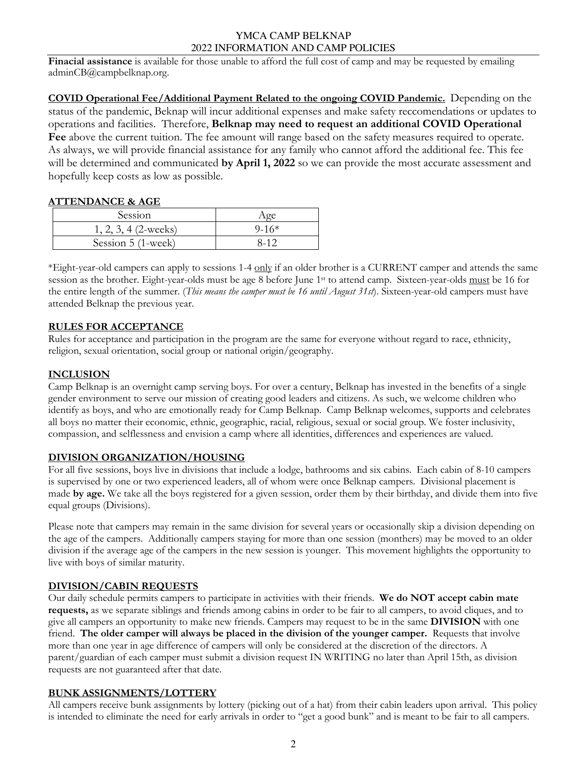**Finacial assistance** is available for those unable to afford the full cost of camp and may be requested by emailing adminCB@campbelknap.org.

**COVID Operational Fee/Additional Payment Related to the ongoing COVID Pandemic.** Depending on the status of the pandemic, Beknap will incur additional expenses and make safety reccomendations or updates to operations and facilities. Therefore, **Belknap may need to request an additional COVID Operational Fee** above the current tuition. The fee amount will range based on the safety measures required to operate. As always, we will provide financial assistance for any family who cannot afford the additional fee. This fee will be determined and communicated **by April 1, 2022** so we can provide the most accurate assessment and hopefully keep costs as low as possible.

### **ATTENDANCE & AGE**

| Session                |         |
|------------------------|---------|
| $1, 2, 3, 4$ (2-weeks) | $9-16*$ |
| Session 5 (1-week)     | 8-12    |

\*Eight-year-old campers can apply to sessions 1-4 only if an older brother is a CURRENT camper and attends the same session as the brother. Eight-year-olds must be age 8 before June 1st to attend camp. Sixteen-year-olds must be 16 for the entire length of the summer. (*This means the camper must be 16 until August 31st*). Sixteen-year-old campers must have attended Belknap the previous year.

# **RULES FOR ACCEPTANCE**

Rules for acceptance and participation in the program are the same for everyone without regard to race, ethnicity, religion, sexual orientation, social group or national origin/geography.

# **INCLUSION**

Camp Belknap is an overnight camp serving boys. For over a century, Belknap has invested in the benefits of a single gender environment to serve our mission of creating good leaders and citizens. As such, we welcome children who identify as boys, and who are emotionally ready for Camp Belknap. Camp Belknap welcomes, supports and celebrates all boys no matter their economic, ethnic, geographic, racial, religious, sexual or social group. We foster inclusivity, compassion, and selflessness and envision a camp where all identities, differences and experiences are valued.

### **DIVISION ORGANIZATION/HOUSING**

For all five sessions, boys live in divisions that include a lodge, bathrooms and six cabins. Each cabin of 8-10 campers is supervised by one or two experienced leaders, all of whom were once Belknap campers. Divisional placement is made **by age.** We take all the boys registered for a given session, order them by their birthday, and divide them into five equal groups (Divisions).

Please note that campers may remain in the same division for several years or occasionally skip a division depending on the age of the campers. Additionally campers staying for more than one session (monthers) may be moved to an older division if the average age of the campers in the new session is younger. This movement highlights the opportunity to live with boys of similar maturity.

### **DIVISION/CABIN REQUESTS**

Our daily schedule permits campers to participate in activities with their friends. **We do NOT accept cabin mate requests,** as we separate siblings and friends among cabins in order to be fair to all campers, to avoid cliques, and to give all campers an opportunity to make new friends. Campers may request to be in the same **DIVISION** with one friend. **The older camper will always be placed in the division of the younger camper.** Requests that involve more than one year in age difference of campers will only be considered at the discretion of the directors. A parent/guardian of each camper must submit a division request IN WRITING no later than April 15th, as division requests are not guaranteed after that date.

### **BUNK ASSIGNMENTS/LOTTERY**

All campers receive bunk assignments by lottery (picking out of a hat) from their cabin leaders upon arrival. This policy is intended to eliminate the need for early arrivals in order to "get a good bunk" and is meant to be fair to all campers.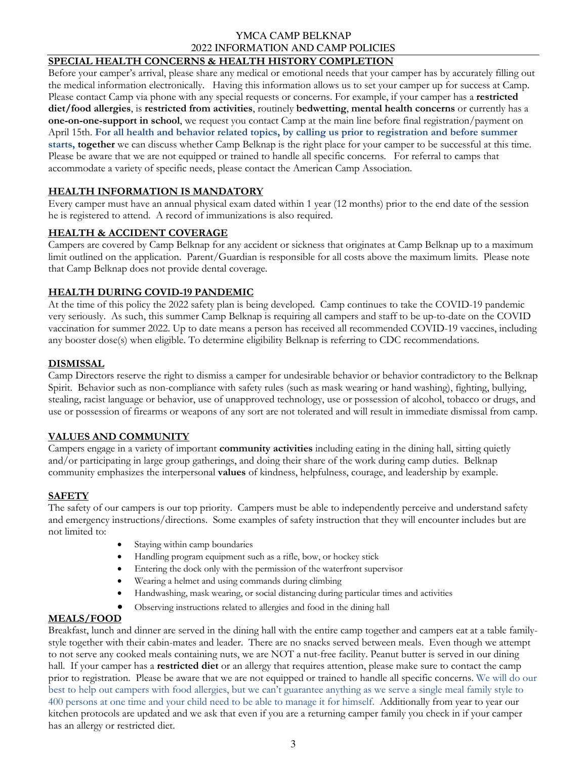### **SPECIAL HEALTH CONCERNS & HEALTH HISTORY COMPLETION**

Before your camper's arrival, please share any medical or emotional needs that your camper has by accurately filling out the medical information electronically. Having this information allows us to set your camper up for success at Camp. Please contact Camp via phone with any special requests or concerns. For example, if your camper has a **restricted diet/food allergies**, is **restricted from activities**, routinely **bedwetting**, **mental health concerns** or currently has a **one-on-one-support in school**, we request you contact Camp at the main line before final registration/payment on April 15th. **For all health and behavior related topics, by calling us prior to registration and before summer starts, together** we can discuss whether Camp Belknap is the right place for your camper to be successful at this time. Please be aware that we are not equipped or trained to handle all specific concerns. For referral to camps that accommodate a variety of specific needs, please contact the American Camp Association.

### **HEALTH INFORMATION IS MANDATORY**

Every camper must have an annual physical exam dated within 1 year (12 months) prior to the end date of the session he is registered to attend. A record of immunizations is also required.

# **HEALTH & ACCIDENT COVERAGE**

Campers are covered by Camp Belknap for any accident or sickness that originates at Camp Belknap up to a maximum limit outlined on the application. Parent/Guardian is responsible for all costs above the maximum limits. Please note that Camp Belknap does not provide dental coverage.

### **HEALTH DURING COVID-19 PANDEMIC**

At the time of this policy the 2022 safety plan is being developed. Camp continues to take the COVID-19 pandemic very seriously. As such, this summer Camp Belknap is requiring all campers and staff to be up-to-date on the COVID vaccination for summer 2022. Up to date means a person has received all recommended COVID-19 vaccines, including any booster dose(s) when eligible. To determine eligibility Belknap is referring to CDC recommendations.

### **DISMISSAL**

Camp Directors reserve the right to dismiss a camper for undesirable behavior or behavior contradictory to the Belknap Spirit. Behavior such as non-compliance with safety rules (such as mask wearing or hand washing), fighting, bullying, stealing, racist language or behavior, use of unapproved technology, use or possession of alcohol, tobacco or drugs, and use or possession of firearms or weapons of any sort are not tolerated and will result in immediate dismissal from camp.

### **VALUES AND COMMUNITY**

Campers engage in a variety of important **community activities** including eating in the dining hall, sitting quietly and/or participating in large group gatherings, and doing their share of the work during camp duties. Belknap community emphasizes the interpersonal **values** of kindness, helpfulness, courage, and leadership by example.

### **SAFETY**

The safety of our campers is our top priority. Campers must be able to independently perceive and understand safety and emergency instructions/directions. Some examples of safety instruction that they will encounter includes but are not limited to:

- Staying within camp boundaries
- Handling program equipment such as a rifle, bow, or hockey stick
- Entering the dock only with the permission of the waterfront supervisor
- Wearing a helmet and using commands during climbing
- Handwashing, mask wearing, or social distancing during particular times and activities
- Observing instructions related to allergies and food in the dining hall

### **MEALS/FOOD**

Breakfast, lunch and dinner are served in the dining hall with the entire camp together and campers eat at a table familystyle together with their cabin-mates and leader. There are no snacks served between meals.Even though we attempt to not serve any cooked meals containing nuts, we are NOT a nut-free facility. Peanut butter is served in our dining hall.If your camper has a **restricted diet** or an allergy that requires attention, please make sure to contact the camp prior to registration. Please be aware that we are not equipped or trained to handle all specific concerns. We will do our best to help out campers with food allergies, but we can't guarantee anything as we serve a single meal family style to 400 persons at one time and your child need to be able to manage it for himself. Additionally from year to year our kitchen protocols are updated and we ask that even if you are a returning camper family you check in if your camper has an allergy or restricted diet.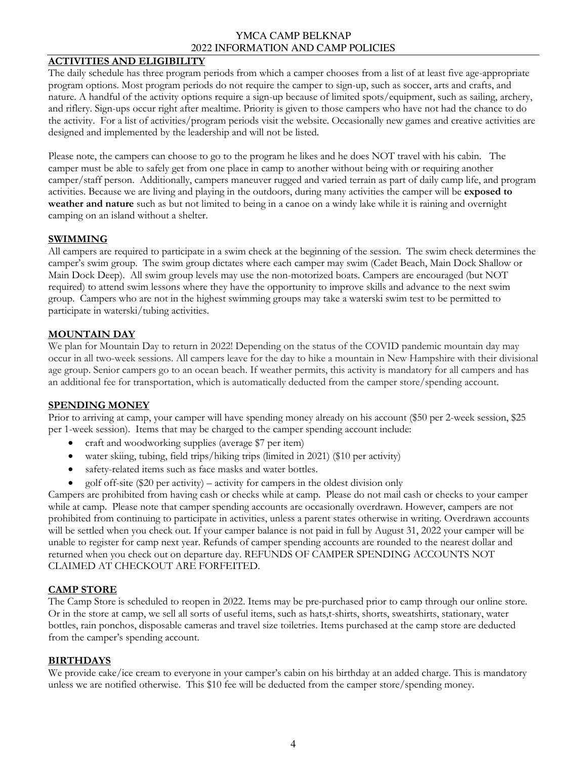### **ACTIVITIES AND ELIGIBILITY**

The daily schedule has three program periods from which a camper chooses from a list of at least five age-appropriate program options. Most program periods do not require the camper to sign-up, such as soccer, arts and crafts, and nature. A handful of the activity options require a sign-up because of limited spots/equipment, such as sailing, archery, and riflery. Sign-ups occur right after mealtime. Priority is given to those campers who have not had the chance to do the activity. For a list of activities/program periods visit the website. Occasionally new games and creative activities are designed and implemented by the leadership and will not be listed.

Please note, the campers can choose to go to the program he likes and he does NOT travel with his cabin. The camper must be able to safely get from one place in camp to another without being with or requiring another camper/staff person. Additionally, campers maneuver rugged and varied terrain as part of daily camp life, and program activities. Because we are living and playing in the outdoors, during many activities the camper will be **exposed to weather and nature** such as but not limited to being in a canoe on a windy lake while it is raining and overnight camping on an island without a shelter.

#### **SWIMMING**

All campers are required to participate in a swim check at the beginning of the session. The swim check determines the camper's swim group. The swim group dictates where each camper may swim (Cadet Beach, Main Dock Shallow or Main Dock Deep). All swim group levels may use the non-motorized boats. Campers are encouraged (but NOT required) to attend swim lessons where they have the opportunity to improve skills and advance to the next swim group. Campers who are not in the highest swimming groups may take a waterski swim test to be permitted to participate in waterski/tubing activities.

### **MOUNTAIN DAY**

We plan for Mountain Day to return in 2022! Depending on the status of the COVID pandemic mountain day may occur in all two-week sessions. All campers leave for the day to hike a mountain in New Hampshire with their divisional age group. Senior campers go to an ocean beach. If weather permits, this activity is mandatory for all campers and has an additional fee for transportation, which is automatically deducted from the camper store/spending account.

#### **SPENDING MONEY**

Prior to arriving at camp, your camper will have spending money already on his account (\$50 per 2-week session, \$25 per 1-week session). Items that may be charged to the camper spending account include:

- craft and woodworking supplies (average \$7 per item)
- water skiing, tubing, field trips/hiking trips (limited in 2021) (\$10 per activity)
- safety-related items such as face masks and water bottles.
- golf off-site  $$20$  per activity) activity for campers in the oldest division only

Campers are prohibited from having cash or checks while at camp. Please do not mail cash or checks to your camper while at camp. Please note that camper spending accounts are occasionally overdrawn. However, campers are not prohibited from continuing to participate in activities, unless a parent states otherwise in writing. Overdrawn accounts will be settled when you check out. If your camper balance is not paid in full by August 31, 2022 your camper will be unable to register for camp next year. Refunds of camper spending accounts are rounded to the nearest dollar and returned when you check out on departure day. REFUNDS OF CAMPER SPENDING ACCOUNTS NOT CLAIMED AT CHECKOUT ARE FORFEITED.

#### **CAMP STORE**

The Camp Store is scheduled to reopen in 2022. Items may be pre-purchased prior to camp through our online store. Or in the store at camp, we sell all sorts of useful items, such as hats,t-shirts, shorts, sweatshirts, stationary, water bottles, rain ponchos, disposable cameras and travel size toiletries. Items purchased at the camp store are deducted from the camper's spending account.

#### **BIRTHDAYS**

We provide cake/ice cream to everyone in your camper's cabin on his birthday at an added charge. This is mandatory unless we are notified otherwise. This \$10 fee will be deducted from the camper store/spending money.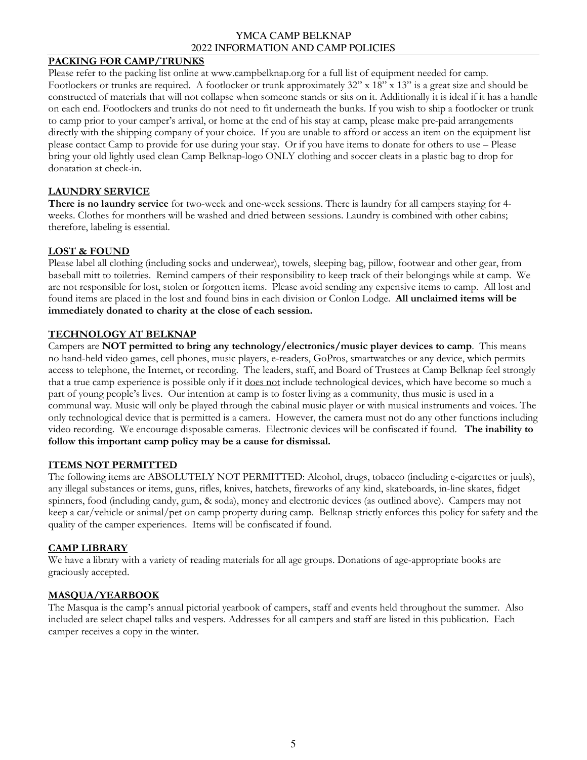#### **PACKING FOR CAMP/TRUNKS**

Please refer to the packing list online at www.campbelknap.org for a full list of equipment needed for camp. Footlockers or trunks are required. A footlocker or trunk approximately 32" x 18" x 13" is a great size and should be constructed of materials that will not collapse when someone stands or sits on it. Additionally it is ideal if it has a handle on each end. Footlockers and trunks do not need to fit underneath the bunks. If you wish to ship a footlocker or trunk to camp prior to your camper's arrival, or home at the end of his stay at camp, please make pre-paid arrangements directly with the shipping company of your choice. If you are unable to afford or access an item on the equipment list please contact Camp to provide for use during your stay. Or if you have items to donate for others to use – Please bring your old lightly used clean Camp Belknap-logo ONLY clothing and soccer cleats in a plastic bag to drop for donatation at check-in.

### **LAUNDRY SERVICE**

**There is no laundry service** for two-week and one-week sessions. There is laundry for all campers staying for 4 weeks. Clothes for monthers will be washed and dried between sessions. Laundry is combined with other cabins; therefore, labeling is essential.

### **LOST & FOUND**

Please label all clothing (including socks and underwear), towels, sleeping bag, pillow, footwear and other gear, from baseball mitt to toiletries. Remind campers of their responsibility to keep track of their belongings while at camp. We are not responsible for lost, stolen or forgotten items. Please avoid sending any expensive items to camp. All lost and found items are placed in the lost and found bins in each division or Conlon Lodge. **All unclaimed items will be immediately donated to charity at the close of each session.** 

### **TECHNOLOGY AT BELKNAP**

Campers are **NOT permitted to bring any technology/electronics/music player devices to camp**. This means no hand-held video games, cell phones, music players, e-readers, GoPros, smartwatches or any device, which permits access to telephone, the Internet, or recording. The leaders, staff, and Board of Trustees at Camp Belknap feel strongly that a true camp experience is possible only if it does not include technological devices, which have become so much a part of young people's lives. Our intention at camp is to foster living as a community, thus music is used in a communal way. Music will only be played through the cabinal music player or with musical instruments and voices. The only technological device that is permitted is a camera. However, the camera must not do any other functions including video recording. We encourage disposable cameras. Electronic devices will be confiscated if found. **The inability to follow this important camp policy may be a cause for dismissal.**

#### **ITEMS NOT PERMITTED**

The following items are ABSOLUTELY NOT PERMITTED: Alcohol, drugs, tobacco (including e-cigarettes or juuls), any illegal substances or items, guns, rifles, knives, hatchets, fireworks of any kind, skateboards, in-line skates, fidget spinners, food (including candy, gum, & soda), money and electronic devices (as outlined above). Campers may not keep a car/vehicle or animal/pet on camp property during camp. Belknap strictly enforces this policy for safety and the quality of the camper experiences. Items will be confiscated if found.

#### **CAMP LIBRARY**

We have a library with a variety of reading materials for all age groups. Donations of age-appropriate books are graciously accepted.

#### **MASQUA/YEARBOOK**

The Masqua is the camp's annual pictorial yearbook of campers, staff and events held throughout the summer. Also included are select chapel talks and vespers. Addresses for all campers and staff are listed in this publication. Each camper receives a copy in the winter.